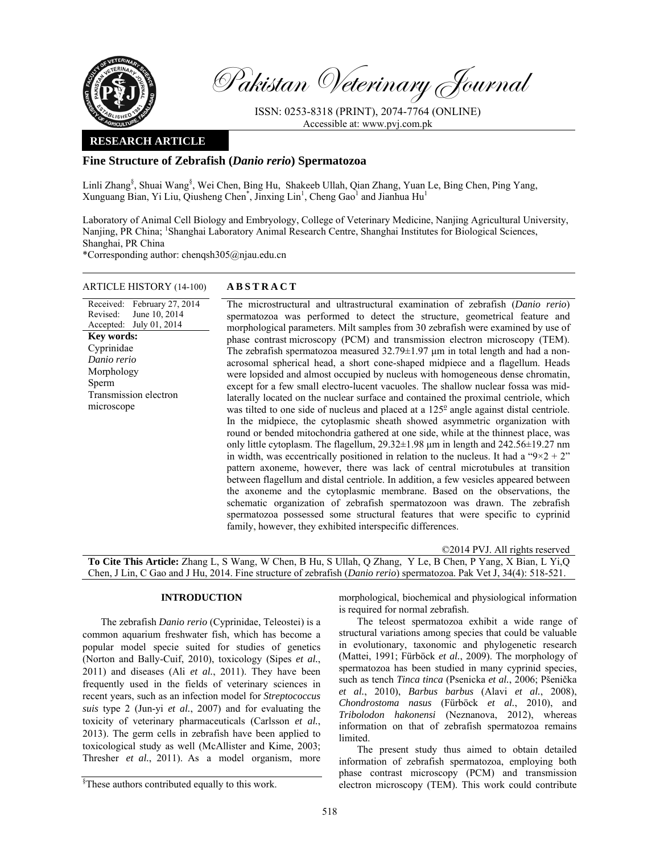

Pakistan Veterinary Journal

ISSN: 0253-8318 (PRINT), 2074-7764 (ONLINE) Accessible at: www.pvj.com.pk

# **RESEARCH ARTICLE**

# **Fine Structure of Zebrafish (***Danio rerio***) Spermatozoa**

Linli Zhang<sup>§</sup>, Shuai Wang<sup>§</sup>, Wei Chen, Bing Hu, Shakeeb Ullah, Qian Zhang, Yuan Le, Bing Chen, Ping Yang, Xunguang Bian, Yi Liu, Qiusheng Chen<sup>\*</sup>, Jinxing Lin<sup>1</sup>, Cheng Gao<sup>1</sup> and Jianhua Hu<sup>1</sup>

Laboratory of Animal Cell Biology and Embryology, College of Veterinary Medicine, Nanjing Agricultural University, Nanjing, PR China; <sup>1</sup>Shanghai Laboratory Animal Research Centre, Shanghai Institutes for Biological Sciences, Shanghai, PR China

\*Corresponding author: chenqsh305@njau.edu.cn

### ARTICLE HISTORY (14-100) **ABSTRACT**

Received: February 27, 2014 Revised: Accepted: June 10, 2014 July 01, 2014 **Key words:**  Cyprinidae *Danio rerio*  Morphology Sperm Transmission electron microscope

 The microstructural and ultrastructural examination of zebrafish (*Danio rerio*) spermatozoa was performed to detect the structure, geometrical feature and morphological parameters. Milt samples from 30 zebrafish were examined by use of phase contrast microscopy (PCM) and transmission electron microscopy (TEM). The zebrafish spermatozoa measured  $32.79 \pm 1.97$  µm in total length and had a nonacrosomal spherical head, a short cone-shaped midpiece and a flagellum. Heads were lopsided and almost occupied by nucleus with homogeneous dense chromatin, except for a few small electro-lucent vacuoles. The shallow nuclear fossa was midlaterally located on the nuclear surface and contained the proximal centriole, which was tilted to one side of nucleus and placed at a  $125^\circ$  angle against distal centriole. In the midpiece, the cytoplasmic sheath showed asymmetric organization with round or bended mitochondria gathered at one side, while at the thinnest place, was only little cytoplasm. The flagellum, 29.32±1.98 µm in length and 242.56±19.27 nm in width, was eccentrically positioned in relation to the nucleus. It had a " $9 \times 2 + 2$ " pattern axoneme, however, there was lack of central microtubules at transition between flagellum and distal centriole. In addition, a few vesicles appeared between the axoneme and the cytoplasmic membrane. Based on the observations, the schematic organization of zebrafish spermatozoon was drawn. The zebrafish spermatozoa possessed some structural features that were specific to cyprinid family, however, they exhibited interspecific differences.

©2014 PVJ. All rights reserved

**To Cite This Article:** Zhang L, S Wang, W Chen, B Hu, S Ullah, Q Zhang, Y Le, B Chen, P Yang, X Bian, L Yi,Q Chen, J Lin, C Gao and J Hu, 2014. Fine structure of zebrafish (*Danio rerio*) spermatozoa. Pak Vet J, 34(4): 518-521.

## **INTRODUCTION**

The zebrafish *Danio rerio* (Cyprinidae, Teleostei) is a common aquarium freshwater fish, which has become a popular model specie suited for studies of genetics (Norton and Bally-Cuif, 2010), toxicology (Sipes *et al.*, 2011) and diseases (Ali *et al.*, 2011). They have been frequently used in the fields of veterinary sciences in recent years, such as an infection model for *Streptococcus suis* type 2 (Jun-yi *et al.*, 2007) and for evaluating the toxicity of veterinary pharmaceuticals (Carlsson *et al.*, 2013). The germ cells in zebrafish have been applied to toxicological study as well (McAllister and Kime, 2003; Thresher *et al.*, 2011). As a model organism, more

morphological, biochemical and physiological information is required for normal zebrafish.

The teleost spermatozoa exhibit a wide range of structural variations among species that could be valuable in evolutionary, taxonomic and phylogenetic research (Mattei, 1991; Fürböck *et al.*, 2009). The morphology of spermatozoa has been studied in many cyprinid species, such as tench *Tinca tinca* (Psenicka *et al.*, 2006; Pšenička *et al.*, 2010), *Barbus barbus* (Alavi *et al.*, 2008), *Chondrostoma nasus* (Fürböck *et al.*, 2010), and *Tribolodon hakonensi* (Neznanova, 2012), whereas information on that of zebrafish spermatozoa remains limited.

The present study thus aimed to obtain detailed information of zebrafish spermatozoa, employing both phase contrast microscopy (PCM) and transmission electron microscopy (TEM). This work could contribute

<sup>§</sup> These authors contributed equally to this work.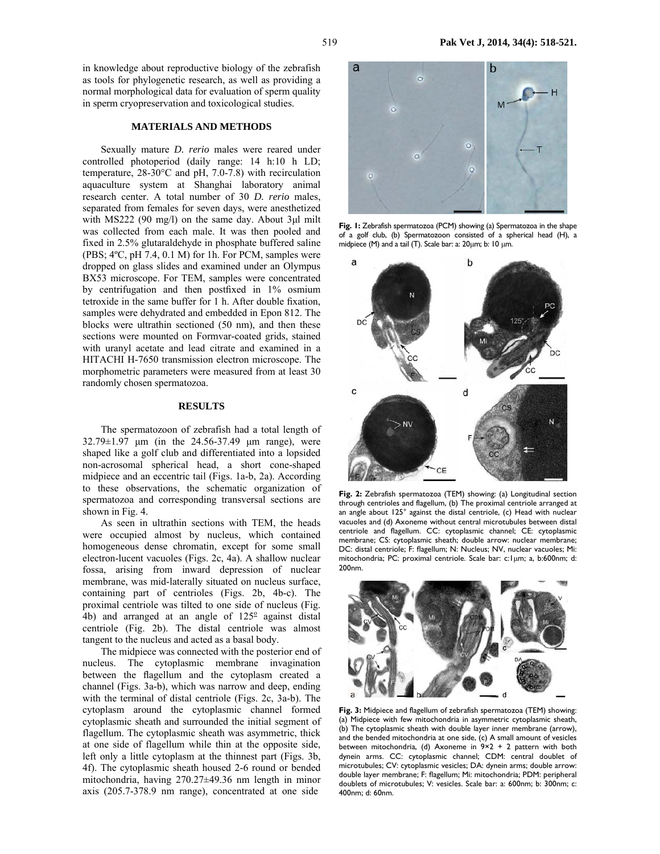in knowledge about reproductive biology of the zebrafish as tools for phylogenetic research, as well as providing a normal morphological data for evaluation of sperm quality in sperm cryopreservation and toxicological studies.

#### **MATERIALS AND METHODS**

Sexually mature *D. rerio* males were reared under controlled photoperiod (daily range: 14 h:10 h LD; temperature, 28-30°C and pH, 7.0-7.8) with recirculation aquaculture system at Shanghai laboratory animal research center. A total number of 30 *D. rerio* males, separated from females for seven days, were anesthetized with MS222 (90 mg/l) on the same day. About 3µl milt was collected from each male. It was then pooled and fixed in 2.5% glutaraldehyde in phosphate buffered saline (PBS; 4ºC, pH 7.4, 0.1 M) for 1h. For PCM, samples were dropped on glass slides and examined under an Olympus BX53 microscope. For TEM, samples were concentrated by centrifugation and then postfixed in 1% osmium tetroxide in the same buffer for 1 h. After double fixation, samples were dehydrated and embedded in Epon 812. The blocks were ultrathin sectioned (50 nm), and then these sections were mounted on Formvar-coated grids, stained with uranyl acetate and lead citrate and examined in a HITACHI H-7650 transmission electron microscope. The morphometric parameters were measured from at least 30 randomly chosen spermatozoa.

#### **RESULTS**

The spermatozoon of zebrafish had a total length of 32.79±1.97 µm (in the 24.56-37.49 µm range), were shaped like a golf club and differentiated into a lopsided non-acrosomal spherical head, a short cone-shaped midpiece and an eccentric tail (Figs. 1a-b, 2a). According to these observations, the schematic organization of spermatozoa and corresponding transversal sections are shown in Fig. 4.

As seen in ultrathin sections with TEM, the heads were occupied almost by nucleus, which contained homogeneous dense chromatin, except for some small electron-lucent vacuoles (Figs. 2c, 4a). A shallow nuclear fossa, arising from inward depression of nuclear membrane, was mid-laterally situated on nucleus surface, containing part of centrioles (Figs. 2b, 4b-c). The proximal centriole was tilted to one side of nucleus (Fig.  $\overline{4}$ b) and arranged at an angle of 125 $\degree$  against distal centriole (Fig. 2b). The distal centriole was almost tangent to the nucleus and acted as a basal body.

The midpiece was connected with the posterior end of nucleus. The cytoplasmic membrane invagination between the flagellum and the cytoplasm created a channel (Figs. 3a-b), which was narrow and deep, ending with the terminal of distal centriole (Figs. 2c, 3a-b). The cytoplasm around the cytoplasmic channel formed cytoplasmic sheath and surrounded the initial segment of flagellum. The cytoplasmic sheath was asymmetric, thick at one side of flagellum while thin at the opposite side, left only a little cytoplasm at the thinnest part (Figs. 3b, 4f). The cytoplasmic sheath housed 2-6 round or bended mitochondria, having 270.27±49.36 nm length in minor axis (205.7-378.9 nm range), concentrated at one side



**Fig. 1:** Zebrafish spermatozoa (PCM) showing (a) Spermatozoa in the shape of a golf club, (b) Spermatozoon consisted of a spherical head (H), a midpiece (M) and a tail (T). Scale bar: a: 20µm; b: 10 µm.



**Fig. 2:** Zebrafish spermatozoa (TEM) showing: (a) Longitudinal section through centrioles and flagellum, (b) The proximal centriole arranged at an angle about 125° against the distal centriole, (c) Head with nuclear vacuoles and (d) Axoneme without central microtubules between distal centriole and flagellum. CC: cytoplasmic channel; CE: cytoplasmic membrane; CS: cytoplasmic sheath; double arrow: nuclear membrane; DC: distal centriole; F: flagellum; N: Nucleus; NV, nuclear vacuoles; Mi: mitochondria; PC: proximal centriole. Scale bar: c:1µm; a, b:600nm; d: 200nm.



**Fig. 3:** Midpiece and flagellum of zebrafish spermatozoa (TEM) showing: (a) Midpiece with few mitochondria in asymmetric cytoplasmic sheath, (b) The cytoplasmic sheath with double layer inner membrane (arrow), and the bended mitochondria at one side, (c) A small amount of vesicles between mitochondria, (d) Axoneme in  $9\times2 + 2$  pattern with both dynein arms. CC: cytoplasmic channel; CDM: central doublet of microtubules; CV: cytoplasmic vesicles; DA: dynein arms; double arrow: double layer membrane; F: flagellum; Mi: mitochondria; PDM: peripheral doublets of microtubules; V: vesicles. Scale bar: a: 600nm; b: 300nm; c: 400nm; d: 60nm.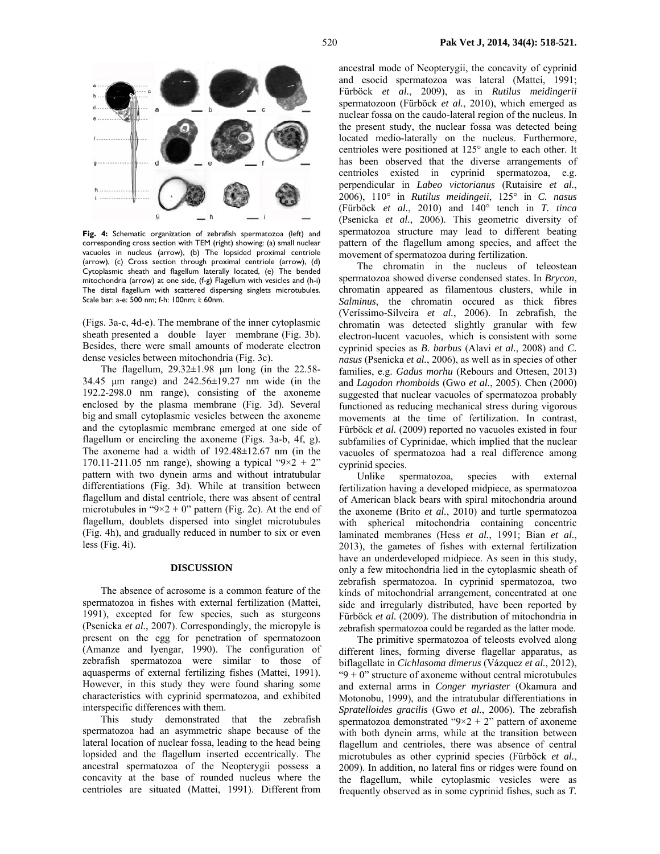

**Fig. 4:** Schematic organization of zebrafish spermatozoa (left) and corresponding cross section with TEM (right) showing: (a) small nuclear vacuoles in nucleus (arrow), (b) The lopsided proximal centriole (arrow), (c) Cross section through proximal centriole (arrow), (d) Cytoplasmic sheath and flagellum laterally located, (e) The bended mitochondria (arrow) at one side, (f-g) Flagellum with vesicles and (h-i) The distal flagellum with scattered dispersing singlets microtubules. Scale bar: a-e: 500 nm; f-h: 100nm; i: 60nm.

(Figs. 3a-c, 4d-e). The membrane of the inner cytoplasmic sheath presented a double layer membrane (Fig. 3b). Besides, there were small amounts of moderate electron dense vesicles between mitochondria (Fig. 3c).

The flagellum,  $29.32 \pm 1.98$  µm long (in the 22.58-34.45 µm range) and 242.56±19.27 nm wide (in the 192.2-298.0 nm range), consisting of the axoneme enclosed by the plasma membrane (Fig. 3d). Several big and small cytoplasmic vesicles between the axoneme and the cytoplasmic membrane emerged at one side of flagellum or encircling the axoneme (Figs. 3a-b, 4f, g). The axoneme had a width of 192.48±12.67 nm (in the 170.11-211.05 nm range), showing a typical " $9 \times 2 + 2$ " pattern with two dynein arms and without intratubular differentiations (Fig. 3d). While at transition between flagellum and distal centriole, there was absent of central microtubules in " $9 \times 2 + 0$ " pattern (Fig. 2c). At the end of flagellum, doublets dispersed into singlet microtubules (Fig. 4h), and gradually reduced in number to six or even less (Fig. 4i).

### **DISCUSSION**

The absence of acrosome is a common feature of the spermatozoa in fishes with external fertilization (Mattei, 1991), excepted for few species, such as sturgeons (Psenicka *et al.*, 2007). Correspondingly, the micropyle is present on the egg for penetration of spermatozoon (Amanze and Iyengar, 1990). The configuration of zebrafish spermatozoa were similar to those of aquasperms of external fertilizing fishes (Mattei, 1991). However, in this study they were found sharing some characteristics with cyprinid spermatozoa, and exhibited interspecific differences with them.

This study demonstrated that the zebrafish spermatozoa had an asymmetric shape because of the lateral location of nuclear fossa, leading to the head being lopsided and the flagellum inserted eccentrically. The ancestral spermatozoa of the Neopterygii possess a concavity at the base of rounded nucleus where the centrioles are situated (Mattei, 1991). Different from ancestral mode of Neopterygii, the concavity of cyprinid and esocid spermatozoa was lateral (Mattei, 1991; Fürböck *et al.*, 2009), as in *Rutilus meidingerii* spermatozoon (Fürböck *et al.*, 2010), which emerged as nuclear fossa on the caudo-lateral region of the nucleus. In the present study, the nuclear fossa was detected being located medio-laterally on the nucleus. Furthermore, centrioles were positioned at 125° angle to each other. It has been observed that the diverse arrangements of centrioles existed in cyprinid spermatozoa, e.g. perpendicular in *Labeo victorianus* (Rutaisire *et al.*, 2006), 110° in *Rutilus meidingeii*, 125° in *C. nasus* (Fürböck *et al.*, 2010) and 140° tench in *T. tinca*  (Psenicka *et al.*, 2006). This geometric diversity of spermatozoa structure may lead to different beating pattern of the flagellum among species, and affect the movement of spermatozoa during fertilization.

The chromatin in the nucleus of teleostean spermatozoa showed diverse condensed states. In *Brycon*, chromatin appeared as filamentous clusters, while in *Salminus*, the chromatin occured as thick fibres (Veríssimo-Silveira *et al.*, 2006). In zebrafish, the chromatin was detected slightly granular with few electron-lucent vacuoles, which is consistent with some cyprinid species as *B. barbus* (Alavi *et al.*, 2008) and *C. nasus* (Psenicka *et al.*, 2006), as well as in species of other families, e.g. *Gadus morhu* (Rebours and Ottesen, 2013) and *Lagodon rhomboids* (Gwo *et al.*, 2005). Chen (2000) suggested that nuclear vacuoles of spermatozoa probably functioned as reducing mechanical stress during vigorous movements at the time of fertilization. In contrast, Fürböck *et al.* (2009) reported no vacuoles existed in four subfamilies of Cyprinidae, which implied that the nuclear vacuoles of spermatozoa had a real difference among cyprinid species.

Unlike spermatozoa, species with external fertilization having a developed midpiece, as spermatozoa of American black bears with spiral mitochondria around the axoneme (Brito *et al.*, 2010) and turtle spermatozoa with spherical mitochondria containing concentric laminated membranes (Hess *et al.*, 1991; Bian *et al.*, 2013), the gametes of fishes with external fertilization have an underdeveloped midpiece. As seen in this study, only a few mitochondria lied in the cytoplasmic sheath of zebrafish spermatozoa. In cyprinid spermatozoa, two kinds of mitochondrial arrangement, concentrated at one side and irregularly distributed, have been reported by Fürböck *et al.* (2009). The distribution of mitochondria in zebrafish spermatozoa could be regarded as the latter mode.

The primitive spermatozoa of teleosts evolved along different lines, forming diverse flagellar apparatus, as biflagellate in *Cichlasoma dimerus* (Vázquez *et al.*, 2012), " $9 + 0$ " structure of axoneme without central microtubules and external arms in *Conger myriaster* (Okamura and Motonobu, 1999), and the intratubular differentiations in *Spratelloides gracilis* (Gwo *et al.*, 2006). The zebrafish spermatozoa demonstrated "9×2 + 2" pattern of axoneme with both dynein arms, while at the transition between flagellum and centrioles, there was absence of central microtubules as other cyprinid species (Fürböck *et al.*, 2009). In addition, no lateral fins or ridges were found on the flagellum, while cytoplasmic vesicles were as frequently observed as in some cyprinid fishes, such as *T.*